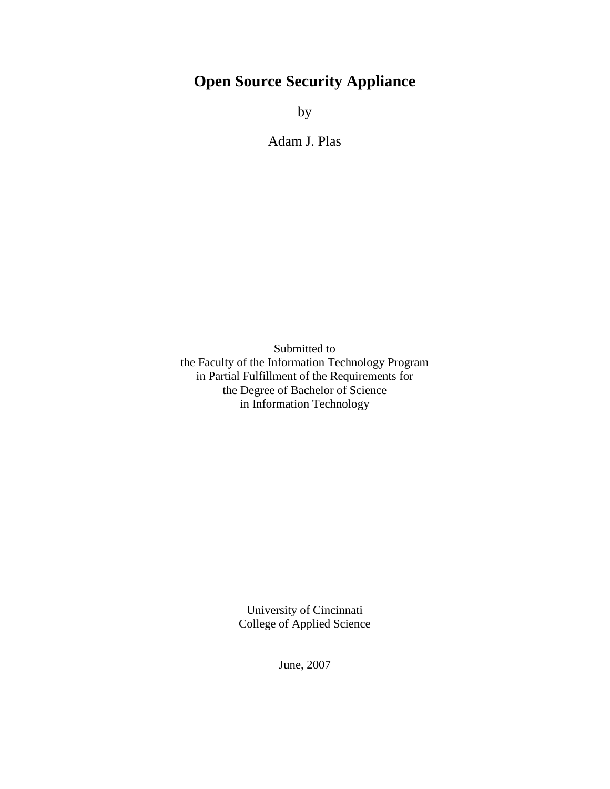# **Open Source Security Appliance**

by

Adam J. Plas

Submitted to the Faculty of the Information Technology Program in Partial Fulfillment of the Requirements for the Degree of Bachelor of Science in Information Technology

> University of Cincinnati College of Applied Science

> > June, 2007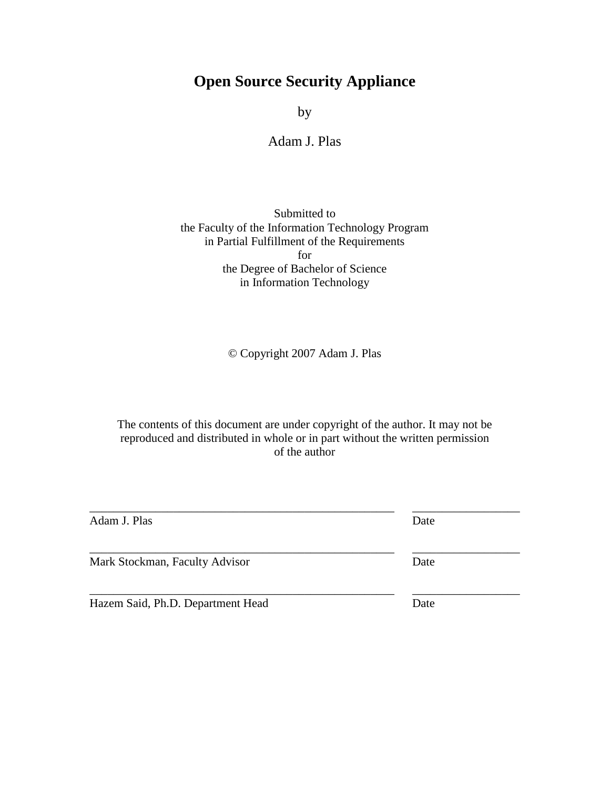# **Open Source Security Appliance**

by

### Adam J. Plas

#### Submitted to the Faculty of the Information Technology Program in Partial Fulfillment of the Requirements for the Degree of Bachelor of Science in Information Technology

© Copyright 2007 Adam J. Plas

The contents of this document are under copyright of the author. It may not be reproduced and distributed in whole or in part without the written permission of the author

| Adam J. Plas                   | Date |  |
|--------------------------------|------|--|
| Mark Stockman, Faculty Advisor | Date |  |

\_\_\_\_\_\_\_\_\_\_\_\_\_\_\_\_\_\_\_\_\_\_\_\_\_\_\_\_\_\_\_\_\_\_\_\_\_\_\_\_\_\_\_\_\_\_\_\_\_\_\_ \_\_\_\_\_\_\_\_\_\_\_\_\_\_\_\_\_\_

Hazem Said, Ph.D. Department Head Date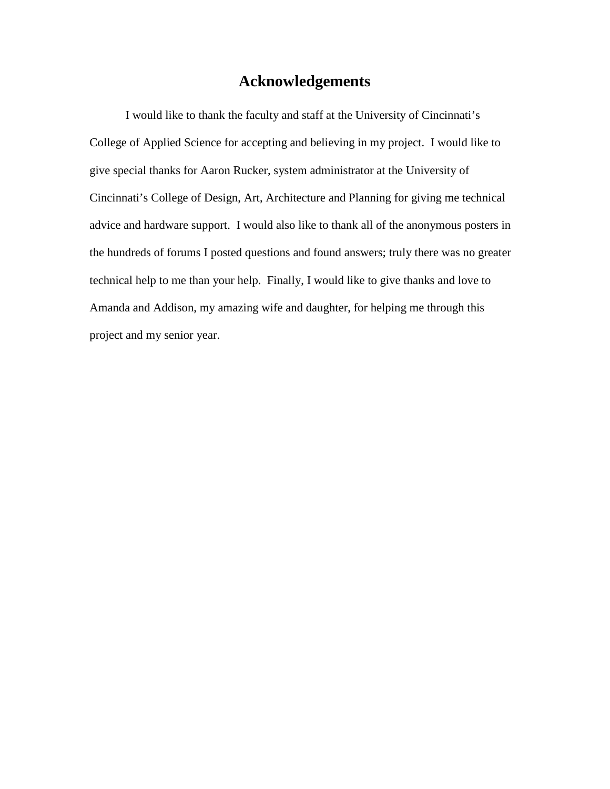## **Acknowledgements**

I would like to thank the faculty and staff at the University of Cincinnati's College of Applied Science for accepting and believing in my project. I would like to give special thanks for Aaron Rucker, system administrator at the University of Cincinnati's College of Design, Art, Architecture and Planning for giving me technical advice and hardware support. I would also like to thank all of the anonymous posters in the hundreds of forums I posted questions and found answers; truly there was no greater technical help to me than your help. Finally, I would like to give thanks and love to Amanda and Addison, my amazing wife and daughter, for helping me through this project and my senior year.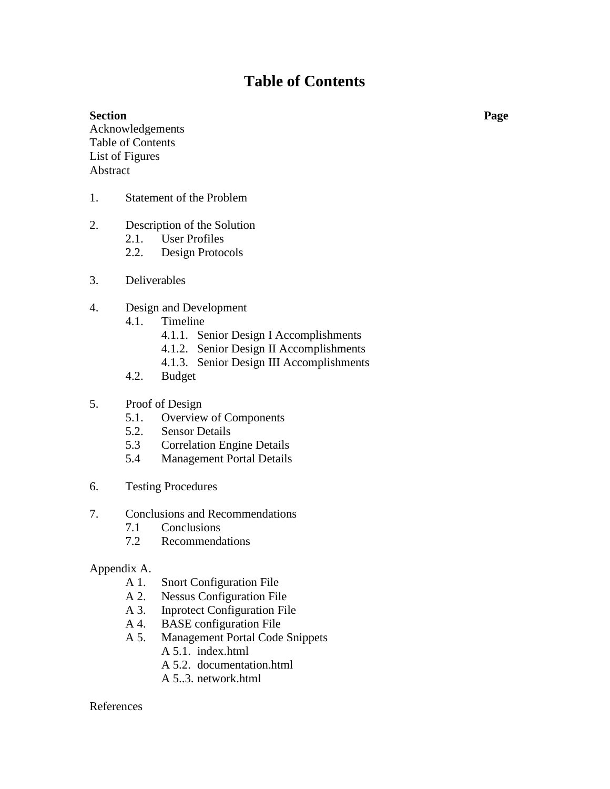# **Table of Contents**

#### **Section Page**

Acknowledgements Table of Contents List of Figures Abstract

- 1. Statement of the Problem
- 2. Description of the Solution
	- 2.1. User Profiles
	- 2.2. Design Protocols
- 3. Deliverables
- 4. Design and Development
	- 4.1. Timeline
		- 4.1.1. Senior Design I Accomplishments
		- 4.1.2. Senior Design II Accomplishments
		- 4.1.3. Senior Design III Accomplishments
	- 4.2. Budget
- 5. Proof of Design
	- 5.1. Overview of Components
	- 5.2. Sensor Details
	- 5.3 Correlation Engine Details
	- 5.4 Management Portal Details
- 6. Testing Procedures
- 7. Conclusions and Recommendations
	- 7.1 Conclusions
	- 7.2 Recommendations

#### Appendix A.

- A 1. Snort Configuration File
- A 2. Nessus Configuration File<br>A 3. Inprotect Configuration Fil
- Inprotect Configuration File
- A 4. BASE configuration File
- A 5. Management Portal Code Snippets
	- A 5.1. index.html
		- A 5.2. documentation.html
		- A 5..3. network.html

#### References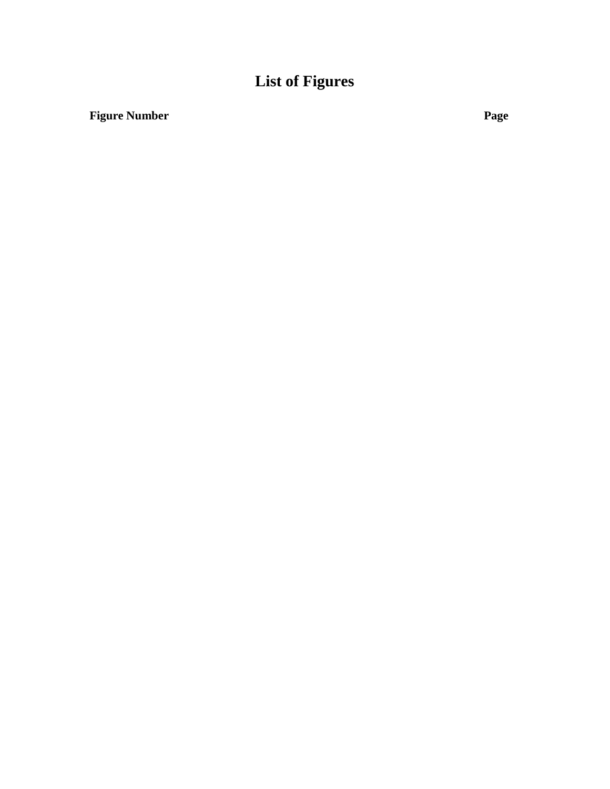## **List of Figure s**

## **Figure Number Page**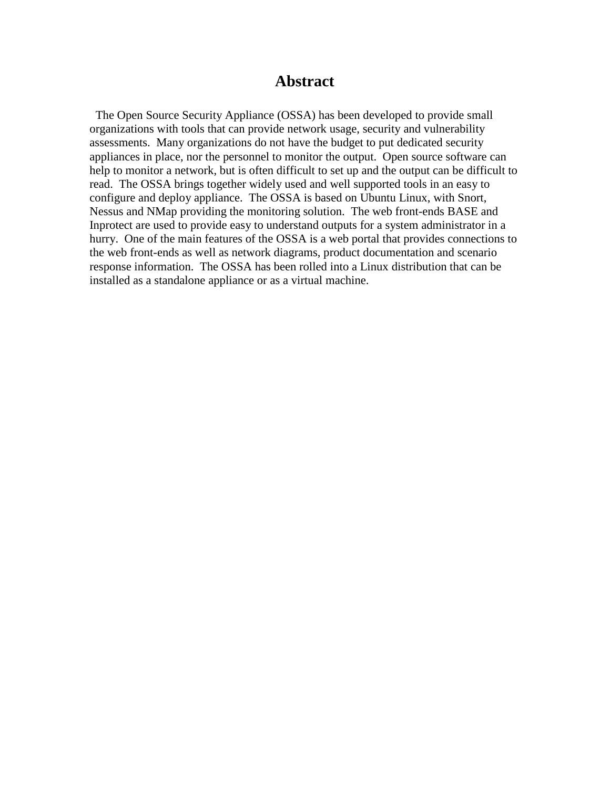## **Abstract**

 The Open Source Security Appliance (OSSA) has been developed to provide small organizations with tools that can provide network usage, security and vulnerability assessments. Many organizations do not have the budget to put dedicated security appliances in place, nor the personnel to monitor the output. Open source software can help to monitor a network, but is often difficult to set up and the output can be difficult to read. The OSSA brings together widely used and well supported tools in an easy to configure and deploy appliance. The OSSA is based on Ubuntu Linux, with Snort, Nessus and NMap providing the monitoring solution. The web front-ends BASE and Inprotect are used to provide easy to understand outputs for a system administrator in a hurry. One of the main features of the OSSA is a web portal that provides connections to the web front-ends as well as network diagrams, product documentation and scenario response information. The OSSA has been rolled into a Linux distribution that can be installed as a standalone appliance or as a virtual machine.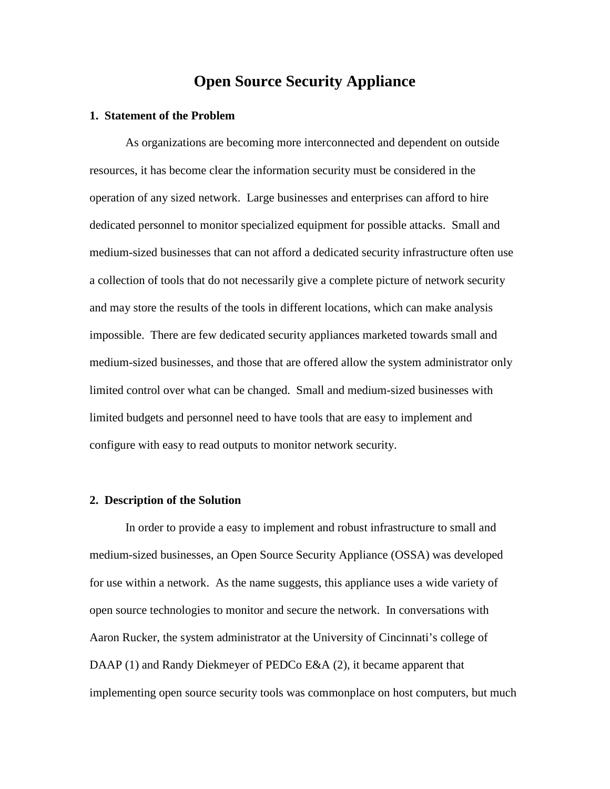## **Open Source Security Appliance**

#### **1. Statement of the Problem**

As organizations are becoming more interconnected and dependent on outside resources, it has become clear the information security must be considered in the operation of any sized network. Large businesses and enterprises can afford to hire dedicated personnel to monitor specialized equipment for possible attacks. Small and medium-sized businesses that can not afford a dedicated security infrastructure often use a collection of tools that do not necessarily give a complete picture of network security and may store the results of the tools in different locations, which can make analysis impossible. There are few dedicated security appliances marketed towards small and medium-sized businesses, and those that are offered allow the system administrator only limited control over what can be changed. Small and medium-sized businesses with limited budgets and personnel need to have tools that are easy to implement and configure with easy to read outputs to monitor network security.

#### **2. Description of the Solution**

In order to provide a easy to implement and robust infrastructure to small and medium-sized businesses, an Open Source Security Appliance (OSSA) was developed for use within a network. As the name suggests, this appliance uses a wide variety of open source technologies to monitor and secure the network. In conversations with Aaron Rucker, the system administrator at the University of Cincinnati's college of DAAP (1) and Randy Diekmeyer of PEDCo E&A (2), it became apparent that implementing open source security tools was commonplace on host computers, but much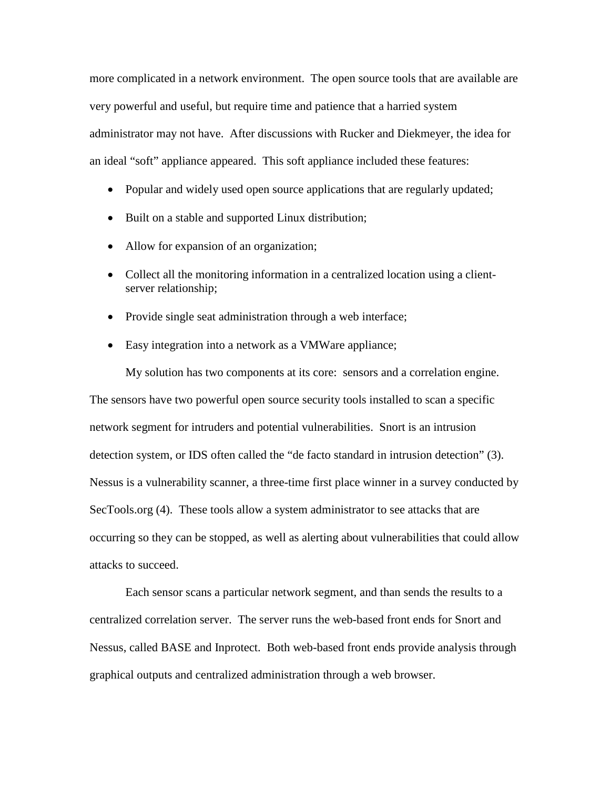more complicated in a network environment. The open source tools that are available are very powerful and useful, but require time and patience that a harried system administrator may not have. After discussions with Rucker and Diekmeyer, the idea for an ideal "soft" appliance appeared. This soft appliance included these features:

- Popular and widely used open source applications that are regularly updated;
- Built on a stable and supported Linux distribution;
- Allow for expansion of an organization;
- Collect all the monitoring information in a centralized location using a clientserver relationship;
- Provide single seat administration through a web interface;
- Easy integration into a network as a VMWare appliance;

My solution has two components at its core: sensors and a correlation engine. The sensors have two powerful open source security tools installed to scan a specific network segment for intruders and potential vulnerabilities. Snort is an intrusion detection system, or IDS often called the "de facto standard in intrusion detection" (3). Nessus is a vulnerability scanner, a three-time first place winner in a survey conducted by SecTools.org (4). These tools allow a system administrator to see attacks that are occurring so they can be stopped, as well as alerting about vulnerabilities that could allow attacks to succeed.

Each sensor scans a particular network segment, and than sends the results to a centralized correlation server. The server runs the web-based front ends for Snort and Nessus, called BASE and Inprotect. Both web-based front ends provide analysis through graphical outputs and centralized administration through a web browser.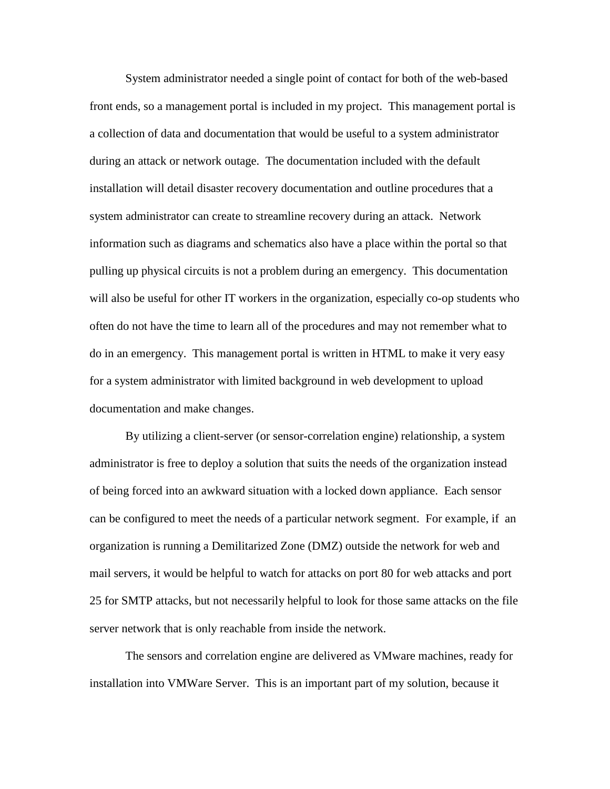System administrator needed a single point of contact for both of the web-based front ends, so a management portal is included in my project. This management portal is a collection of data and documentation that would be useful to a system administrator during an attack or network outage. The documentation included with the default installation will detail disaster recovery documentation and outline procedures that a system administrator can create to streamline recovery during an attack. Network information such as diagrams and schematics also have a place within the portal so that pulling up physical circuits is not a problem during an emergency. This documentation will also be useful for other IT workers in the organization, especially co-op students who often do not have the time to learn all of the procedures and may not remember what to do in an emergency. This management portal is written in HTML to make it very easy for a system administrator with limited background in web development to upload documentation and make changes.

By utilizing a client-server (or sensor-correlation engine) relationship, a system administrator is free to deploy a solution that suits the needs of the organization instead of being forced into an awkward situation with a locked down appliance. Each sensor can be configured to meet the needs of a particular network segment. For example, if an organization is running a Demilitarized Zone (DMZ) outside the network for web and mail servers, it would be helpful to watch for attacks on port 80 for web attacks and port 25 for SMTP attacks, but not necessarily helpful to look for those same attacks on the file server network that is only reachable from inside the network.

The sensors and correlation engine are delivered as VMware machines, ready for installation into VMWare Server. This is an important part of my solution, because it